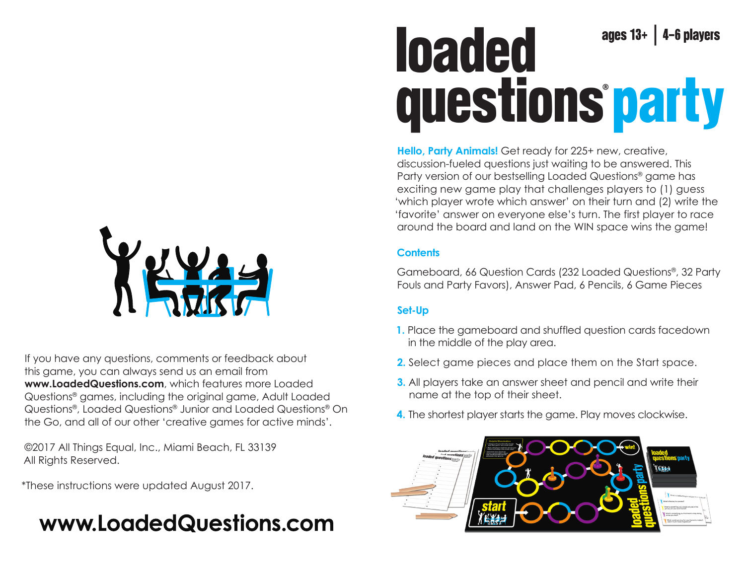

If you have any questions, comments or feedback about this game, you can always send us an email from **www.LoadedQuestions.com**, which features more Loaded Questions® games, including the original game, Adult Loaded Questions®, Loaded Questions® Junior and Loaded Questions® On the Go, and all of our other 'creative games for active minds'.

©2017 All Things Equal, Inc., Miami Beach, FL 33139 All Rights Reserved.

\*These instructions were updated August 2017.

# www.LoadedQuestions.com

# loaded ages  $13+$  | 4-6 players questions party**®**

**Hello, Party Animals!** Get ready for 225+ new, creative, discussion-fueled questions just waiting to be answered. This Party version of our bestselling Loaded Questions® game has exciting new game play that challenges players to (1) guess 'which player wrote which answer' on their turn and (2) write the 'favorite' answer on everyone else's turn. The first player to race around the board and land on the WIN space wins the game!

# **Contents**

Gameboard, 66 Question Cards (232 Loaded Questions®, 32 Party Fouls and Party Favors), Answer Pad, 6 Pencils, 6 Game Pieces

# **Set-Up**

- **1.** Place the gameboard and shuffled question cards facedown in the middle of the play area.
- **2.** Select game pieces and place them on the Start space.
- **3.** All players take an answer sheet and pencil and write their name at the top of their sheet.
- **4.** The shortest player starts the game. Play moves clockwise.